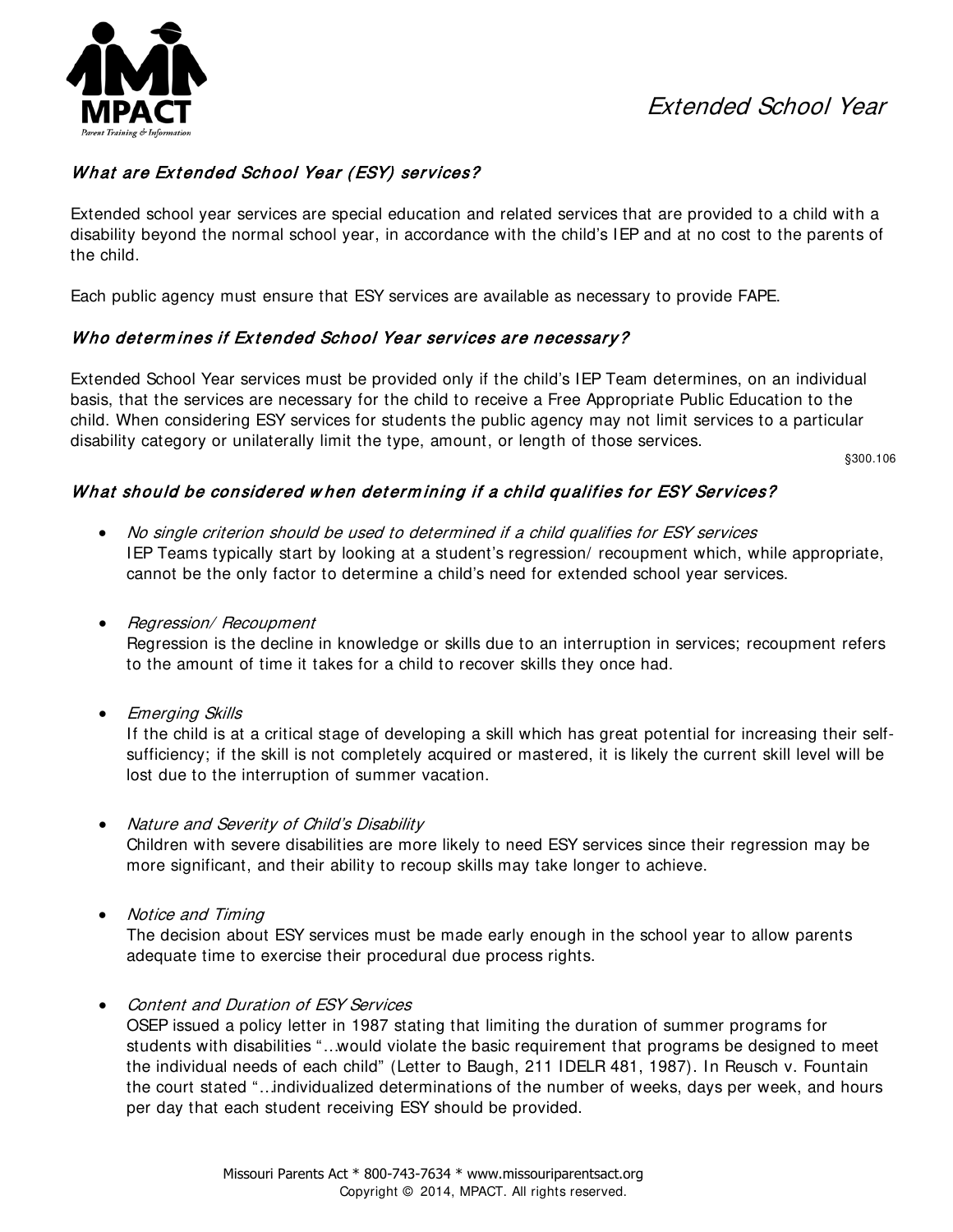## Extended School Year



## What are Extended School Year (ESY) services?

Extended school year services are special education and related services that are provided to a child with a disability beyond the normal school year, in accordance with the child's IEP and at no cost to the parents of the child.

Each public agency must ensure that ESY services are available as necessary to provide FAPE.

### Who determines if Extended School Year services are necessary?

Extended School Year services must be provided only if the child's IEP Team determines, on an individual basis, that the services are necessary for the child to receive a Free Appropriate Public Education to the child. When considering ESY services for students the public agency may not limit services to a particular disability category or unilaterally limit the type, amount, or length of those services.

§300.106

### What should be considered w hen det erm ining if a child qualifies for ESY Services?

- No single criterion should be used to determined if a child qualifies for ESY services IEP Teams typically start by looking at a student's regression/ recoupment which, while appropriate, cannot be the only factor to determine a child's need for extended school year services.
- Regression/Recoupment

Regression is the decline in knowledge or skills due to an interruption in services; recoupment refers to the amount of time it takes for a child to recover skills they once had.

• Emerging Skills

If the child is at a critical stage of developing a skill which has great potential for increasing their selfsufficiency; if the skill is not completely acquired or mastered, it is likely the current skill level will be lost due to the interruption of summer vacation.

• Nature and Severity of Child's Disability

Children with severe disabilities are more likely to need ESY services since their regression may be more significant, and their ability to recoup skills may take longer to achieve.

• Notice and Timing

The decision about ESY services must be made early enough in the school year to allow parents adequate time to exercise their procedural due process rights.

• Content and Duration of ESY Services

OSEP issued a policy letter in 1987 stating that limiting the duration of summer programs for students with disabilities "…would violate the basic requirement that programs be designed to meet the individual needs of each child" (Letter to Baugh, 211 IDELR 481, 1987). In Reusch v. Fountain the court stated "…individualized determinations of the number of weeks, days per week, and hours per day that each student receiving ESY should be provided.